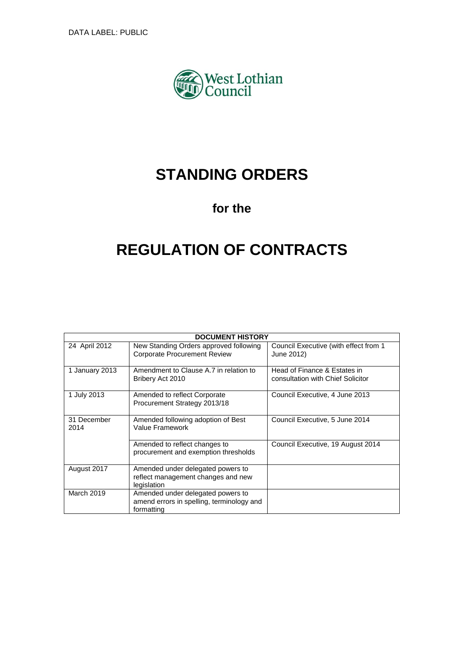

# **STANDING ORDERS**

# **for the**

# **REGULATION OF CONTRACTS**

|                     | <b>DOCUMENT HISTORY</b>                                                                      |                                                                   |  |  |
|---------------------|----------------------------------------------------------------------------------------------|-------------------------------------------------------------------|--|--|
| 24 April 2012       | New Standing Orders approved following<br><b>Corporate Procurement Review</b>                | Council Executive (with effect from 1<br>June 2012)               |  |  |
| 1 January 2013      | Amendment to Clause A.7 in relation to<br>Bribery Act 2010                                   | Head of Finance & Estates in<br>consultation with Chief Solicitor |  |  |
| 1 July 2013         | Amended to reflect Corporate<br>Procurement Strategy 2013/18                                 | Council Executive, 4 June 2013                                    |  |  |
| 31 December<br>2014 | Amended following adoption of Best<br>Value Framework                                        | Council Executive, 5 June 2014                                    |  |  |
|                     | Amended to reflect changes to<br>procurement and exemption thresholds                        | Council Executive, 19 August 2014                                 |  |  |
| August 2017         | Amended under delegated powers to<br>reflect management changes and new<br>legislation       |                                                                   |  |  |
| March 2019          | Amended under delegated powers to<br>amend errors in spelling, terminology and<br>formatting |                                                                   |  |  |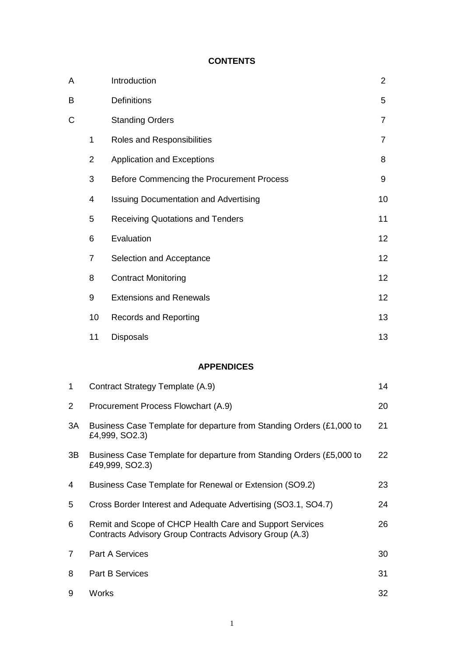# **CONTENTS**

| А  |                                                                                                                           | Introduction                                                                           | $\overline{2}$ |
|----|---------------------------------------------------------------------------------------------------------------------------|----------------------------------------------------------------------------------------|----------------|
| В  |                                                                                                                           | Definitions                                                                            | 5              |
| C  |                                                                                                                           | <b>Standing Orders</b>                                                                 | $\overline{7}$ |
|    | 1                                                                                                                         | Roles and Responsibilities                                                             | 7              |
|    | $\overline{2}$                                                                                                            | <b>Application and Exceptions</b>                                                      | 8              |
|    | 3                                                                                                                         | Before Commencing the Procurement Process                                              | 9              |
|    | 4                                                                                                                         | <b>Issuing Documentation and Advertising</b>                                           | 10             |
|    | 5                                                                                                                         | <b>Receiving Quotations and Tenders</b>                                                | 11             |
|    | 6                                                                                                                         | Evaluation                                                                             | 12             |
|    | 7                                                                                                                         | Selection and Acceptance                                                               | 12             |
|    | 8                                                                                                                         | <b>Contract Monitoring</b>                                                             | 12             |
|    | 9                                                                                                                         | <b>Extensions and Renewals</b>                                                         | 12             |
|    | 10                                                                                                                        | <b>Records and Reporting</b>                                                           | 13             |
|    | 11                                                                                                                        | <b>Disposals</b>                                                                       | 13             |
|    |                                                                                                                           | <b>APPENDICES</b>                                                                      |                |
| 1  |                                                                                                                           | Contract Strategy Template (A.9)                                                       | 14             |
| 2  | Procurement Process Flowchart (A.9)                                                                                       |                                                                                        | 20             |
| 3A |                                                                                                                           | Business Case Template for departure from Standing Orders (£1,000 to<br>£4,999, SO2.3) | 21             |
| 3B | Business Case Template for departure from Standing Orders (£5,000 to<br>22<br>£49,999, SO2.3)                             |                                                                                        |                |
| 4  | Business Case Template for Renewal or Extension (SO9.2)<br>23                                                             |                                                                                        |                |
| 5  | Cross Border Interest and Adequate Advertising (SO3.1, SO4.7)                                                             |                                                                                        | 24             |
| 6  | Remit and Scope of CHCP Health Care and Support Services<br>26<br>Contracts Advisory Group Contracts Advisory Group (A.3) |                                                                                        |                |
| 7  | <b>Part A Services</b><br>30                                                                                              |                                                                                        |                |
| 8  |                                                                                                                           | <b>Part B Services</b>                                                                 | 31             |
|    |                                                                                                                           |                                                                                        |                |

9 Works 32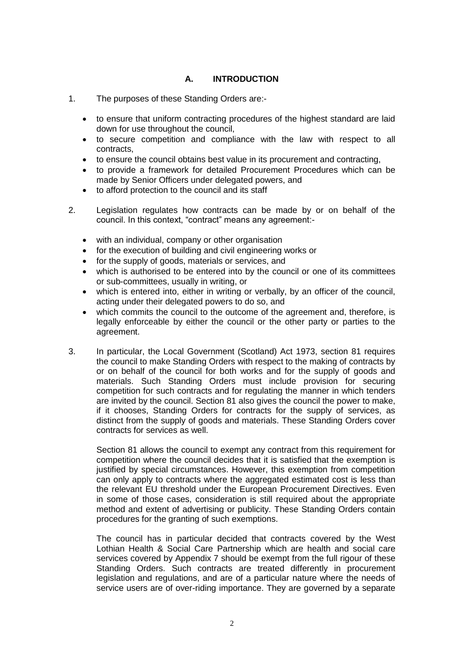# **A. INTRODUCTION**

- 1. The purposes of these Standing Orders are:
	- to ensure that uniform contracting procedures of the highest standard are laid down for use throughout the council,
	- to secure competition and compliance with the law with respect to all contracts,
	- to ensure the council obtains best value in its procurement and contracting,
	- to provide a framework for detailed Procurement Procedures which can be made by Senior Officers under delegated powers, and
	- to afford protection to the council and its staff
- 2. Legislation regulates how contracts can be made by or on behalf of the council. In this context, "contract" means any agreement:
	- with an individual, company or other organisation
	- for the execution of building and civil engineering works or
	- for the supply of goods, materials or services, and
	- which is authorised to be entered into by the council or one of its committees or sub-committees, usually in writing, or
	- which is entered into, either in writing or verbally, by an officer of the council, acting under their delegated powers to do so, and
	- which commits the council to the outcome of the agreement and, therefore, is legally enforceable by either the council or the other party or parties to the agreement.
- 3. In particular, the Local Government (Scotland) Act 1973, section 81 requires the council to make Standing Orders with respect to the making of contracts by or on behalf of the council for both works and for the supply of goods and materials. Such Standing Orders must include provision for securing competition for such contracts and for regulating the manner in which tenders are invited by the council. Section 81 also gives the council the power to make, if it chooses, Standing Orders for contracts for the supply of services, as distinct from the supply of goods and materials. These Standing Orders cover contracts for services as well.

Section 81 allows the council to exempt any contract from this requirement for competition where the council decides that it is satisfied that the exemption is justified by special circumstances. However, this exemption from competition can only apply to contracts where the aggregated estimated cost is less than the relevant EU threshold under the European Procurement Directives. Even in some of those cases, consideration is still required about the appropriate method and extent of advertising or publicity. These Standing Orders contain procedures for the granting of such exemptions.

The council has in particular decided that contracts covered by the West Lothian Health & Social Care Partnership which are health and social care services covered by Appendix 7 should be exempt from the full rigour of these Standing Orders. Such contracts are treated differently in procurement legislation and regulations, and are of a particular nature where the needs of service users are of over-riding importance. They are governed by a separate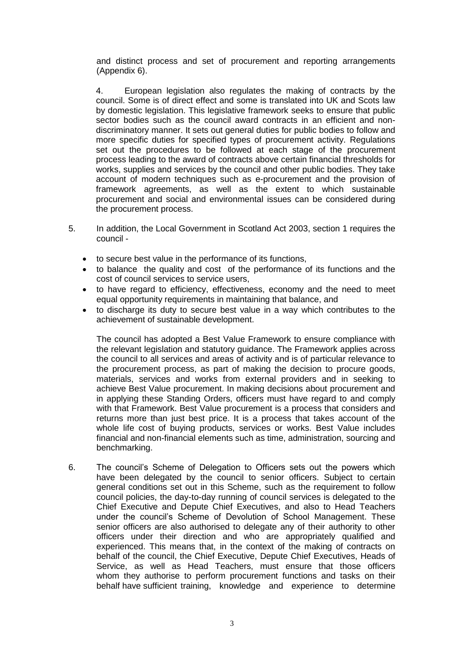and distinct process and set of procurement and reporting arrangements (Appendix 6).

4. European legislation also regulates the making of contracts by the council. Some is of direct effect and some is translated into UK and Scots law by domestic legislation. This legislative framework seeks to ensure that public sector bodies such as the council award contracts in an efficient and nondiscriminatory manner. It sets out general duties for public bodies to follow and more specific duties for specified types of procurement activity. Regulations set out the procedures to be followed at each stage of the procurement process leading to the award of contracts above certain financial thresholds for works, supplies and services by the council and other public bodies. They take account of modern techniques such as e-procurement and the provision of framework agreements, as well as the extent to which sustainable procurement and social and environmental issues can be considered during the procurement process.

- 5. In addition, the Local Government in Scotland Act 2003, section 1 requires the council
	- to secure best value in the performance of its functions,
	- to balance the quality and cost of the performance of its functions and the cost of council services to service users,
	- to have regard to efficiency, effectiveness, economy and the need to meet equal opportunity requirements in maintaining that balance, and
	- to discharge its duty to secure best value in a way which contributes to the achievement of sustainable development.

The council has adopted a Best Value Framework to ensure compliance with the relevant legislation and statutory guidance. The Framework applies across the council to all services and areas of activity and is of particular relevance to the procurement process, as part of making the decision to procure goods, materials, services and works from external providers and in seeking to achieve Best Value procurement. In making decisions about procurement and in applying these Standing Orders, officers must have regard to and comply with that Framework. Best Value procurement is a process that considers and returns more than just best price. It is a process that takes account of the whole life cost of buying products, services or works. Best Value includes financial and non-financial elements such as time, administration, sourcing and benchmarking.

6. The council's Scheme of Delegation to Officers sets out the powers which have been delegated by the council to senior officers. Subject to certain general conditions set out in this Scheme, such as the requirement to follow council policies, the day-to-day running of council services is delegated to the Chief Executive and Depute Chief Executives, and also to Head Teachers under the council's Scheme of Devolution of School Management. These senior officers are also authorised to delegate any of their authority to other officers under their direction and who are appropriately qualified and experienced. This means that, in the context of the making of contracts on behalf of the council, the Chief Executive, Depute Chief Executives, Heads of Service, as well as Head Teachers, must ensure that those officers whom they authorise to perform procurement functions and tasks on their behalf have sufficient training, knowledge and experience to determine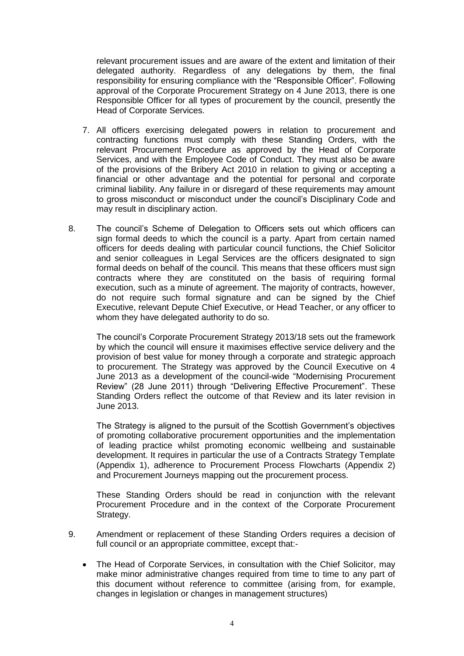relevant procurement issues and are aware of the extent and limitation of their delegated authority. Regardless of any delegations by them, the final responsibility for ensuring compliance with the "Responsible Officer". Following approval of the Corporate Procurement Strategy on 4 June 2013, there is one Responsible Officer for all types of procurement by the council, presently the Head of Corporate Services.

- 7. All officers exercising delegated powers in relation to procurement and contracting functions must comply with these Standing Orders, with the relevant Procurement Procedure as approved by the Head of Corporate Services, and with the Employee Code of Conduct. They must also be aware of the provisions of the Bribery Act 2010 in relation to giving or accepting a financial or other advantage and the potential for personal and corporate criminal liability. Any failure in or disregard of these requirements may amount to gross misconduct or misconduct under the council's Disciplinary Code and may result in disciplinary action.
- 8. The council's Scheme of Delegation to Officers sets out which officers can sign formal deeds to which the council is a party. Apart from certain named officers for deeds dealing with particular council functions, the Chief Solicitor and senior colleagues in Legal Services are the officers designated to sign formal deeds on behalf of the council. This means that these officers must sign contracts where they are constituted on the basis of requiring formal execution, such as a minute of agreement. The majority of contracts, however, do not require such formal signature and can be signed by the Chief Executive, relevant Depute Chief Executive, or Head Teacher, or any officer to whom they have delegated authority to do so.

The council's Corporate Procurement Strategy 2013/18 sets out the framework by which the council will ensure it maximises effective service delivery and the provision of best value for money through a corporate and strategic approach to procurement. The Strategy was approved by the Council Executive on 4 June 2013 as a development of the council-wide "Modernising Procurement Review" (28 June 2011) through "Delivering Effective Procurement". These Standing Orders reflect the outcome of that Review and its later revision in June 2013.

The Strategy is aligned to the pursuit of the Scottish Government's objectives of promoting collaborative procurement opportunities and the implementation of leading practice whilst promoting economic wellbeing and sustainable development. It requires in particular the use of a Contracts Strategy Template (Appendix 1), adherence to Procurement Process Flowcharts (Appendix 2) and Procurement Journeys mapping out the procurement process.

These Standing Orders should be read in conjunction with the relevant Procurement Procedure and in the context of the Corporate Procurement Strategy.

- 9. Amendment or replacement of these Standing Orders requires a decision of full council or an appropriate committee, except that:-
	- The Head of Corporate Services, in consultation with the Chief Solicitor, may make minor administrative changes required from time to time to any part of this document without reference to committee (arising from, for example, changes in legislation or changes in management structures)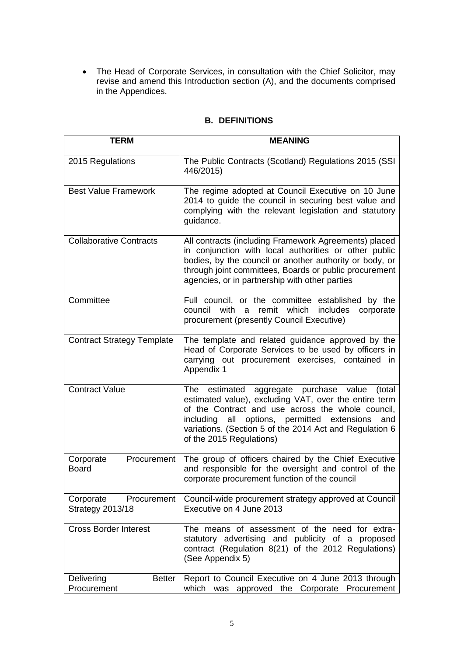The Head of Corporate Services, in consultation with the Chief Solicitor, may revise and amend this Introduction section (A), and the documents comprised in the Appendices.

# **B. DEFINITIONS**

| <b>TERM</b>                                         | <b>MEANING</b>                                                                                                                                                                                                                                                                                                       |
|-----------------------------------------------------|----------------------------------------------------------------------------------------------------------------------------------------------------------------------------------------------------------------------------------------------------------------------------------------------------------------------|
| 2015 Regulations                                    | The Public Contracts (Scotland) Regulations 2015 (SSI<br>446/2015)                                                                                                                                                                                                                                                   |
| <b>Best Value Framework</b>                         | The regime adopted at Council Executive on 10 June<br>2014 to guide the council in securing best value and<br>complying with the relevant legislation and statutory<br>guidance.                                                                                                                                     |
| Collaborative Contracts                             | All contracts (including Framework Agreements) placed<br>in conjunction with local authorities or other public<br>bodies, by the council or another authority or body, or<br>through joint committees, Boards or public procurement<br>agencies, or in partnership with other parties                                |
| Committee                                           | Full council, or the committee established by the<br>council<br>with<br>remit which<br>includes<br>corporate<br>a<br>procurement (presently Council Executive)                                                                                                                                                       |
| <b>Contract Strategy Template</b>                   | The template and related guidance approved by the<br>Head of Corporate Services to be used by officers in<br>carrying out procurement exercises, contained in<br>Appendix 1                                                                                                                                          |
| <b>Contract Value</b>                               | The estimated<br>aggregate purchase value<br>(total<br>estimated value), excluding VAT, over the entire term<br>of the Contract and use across the whole council,<br>including<br>options, permitted extensions<br>all<br>and<br>variations. (Section 5 of the 2014 Act and Regulation 6<br>of the 2015 Regulations) |
| Corporate<br>Procurement<br><b>Board</b>            | The group of officers chaired by the Chief Executive<br>and responsible for the oversight and control of the<br>corporate procurement function of the council                                                                                                                                                        |
| Corporate<br>Procurement<br><b>Strategy 2013/18</b> | Council-wide procurement strategy approved at Council<br>Executive on 4 June 2013                                                                                                                                                                                                                                    |
| <b>Cross Border Interest</b>                        | The means of assessment of the need for extra-<br>statutory advertising and publicity of a proposed<br>contract (Regulation 8(21) of the 2012 Regulations)<br>(See Appendix 5)                                                                                                                                       |
| Delivering<br><b>Better</b><br>Procurement          | Report to Council Executive on 4 June 2013 through<br>which was approved the Corporate Procurement                                                                                                                                                                                                                   |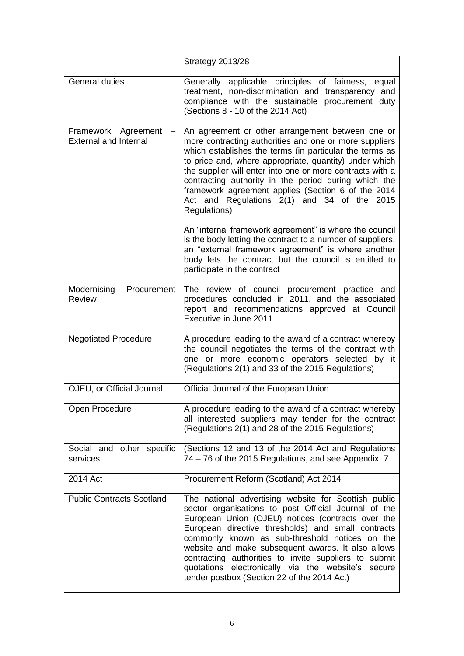|                                                     | Strategy 2013/28                                                                                                                                                                                                                                                                                                                                                                                                                                                                                 |
|-----------------------------------------------------|--------------------------------------------------------------------------------------------------------------------------------------------------------------------------------------------------------------------------------------------------------------------------------------------------------------------------------------------------------------------------------------------------------------------------------------------------------------------------------------------------|
| <b>General duties</b>                               | Generally applicable principles of fairness,<br>equal<br>treatment, non-discrimination and transparency and<br>compliance with the sustainable procurement duty<br>(Sections 8 - 10 of the 2014 Act)                                                                                                                                                                                                                                                                                             |
| Framework Agreement<br><b>External and Internal</b> | An agreement or other arrangement between one or<br>more contracting authorities and one or more suppliers<br>which establishes the terms (in particular the terms as<br>to price and, where appropriate, quantity) under which<br>the supplier will enter into one or more contracts with a<br>contracting authority in the period during which the<br>framework agreement applies (Section 6 of the 2014<br>Act and Regulations 2(1) and 34 of the 2015<br>Regulations)                        |
|                                                     | An "internal framework agreement" is where the council<br>is the body letting the contract to a number of suppliers,<br>an "external framework agreement" is where another<br>body lets the contract but the council is entitled to<br>participate in the contract                                                                                                                                                                                                                               |
| Modernising<br>Procurement<br><b>Review</b>         | The review of council procurement practice and<br>procedures concluded in 2011, and the associated<br>report and recommendations approved at Council<br>Executive in June 2011                                                                                                                                                                                                                                                                                                                   |
| <b>Negotiated Procedure</b>                         | A procedure leading to the award of a contract whereby<br>the council negotiates the terms of the contract with<br>one or more economic operators selected by it<br>(Regulations 2(1) and 33 of the 2015 Regulations)                                                                                                                                                                                                                                                                            |
| OJEU, or Official Journal                           | Official Journal of the European Union                                                                                                                                                                                                                                                                                                                                                                                                                                                           |
| Open Procedure                                      | A procedure leading to the award of a contract whereby<br>all interested suppliers may tender for the contract<br>(Regulations 2(1) and 28 of the 2015 Regulations)                                                                                                                                                                                                                                                                                                                              |
| Social and other specific<br>services               | (Sections 12 and 13 of the 2014 Act and Regulations<br>74 – 76 of the 2015 Regulations, and see Appendix 7                                                                                                                                                                                                                                                                                                                                                                                       |
| 2014 Act                                            | Procurement Reform (Scotland) Act 2014                                                                                                                                                                                                                                                                                                                                                                                                                                                           |
| <b>Public Contracts Scotland</b>                    | The national advertising website for Scottish public<br>sector organisations to post Official Journal of the<br>European Union (OJEU) notices (contracts over the<br>European directive thresholds) and small contracts<br>commonly known as sub-threshold notices on the<br>website and make subsequent awards. It also allows<br>contracting authorities to invite suppliers to submit<br>quotations electronically via the website's<br>secure<br>tender postbox (Section 22 of the 2014 Act) |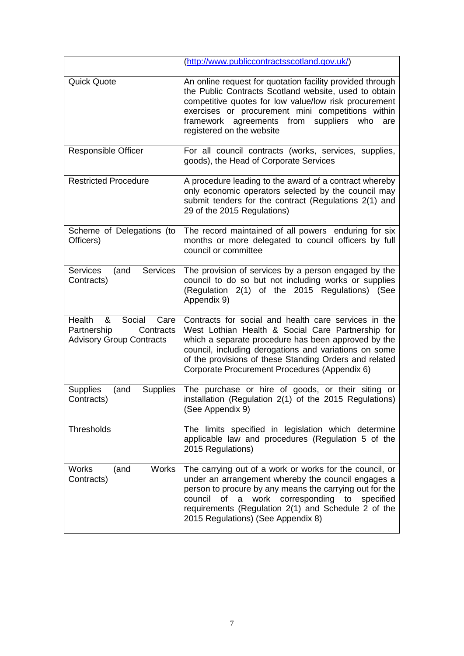|                                                                                              | (http://www.publiccontractsscotland.gov.uk/)                                                                                                                                                                                                                                                                                                   |
|----------------------------------------------------------------------------------------------|------------------------------------------------------------------------------------------------------------------------------------------------------------------------------------------------------------------------------------------------------------------------------------------------------------------------------------------------|
| <b>Quick Quote</b>                                                                           | An online request for quotation facility provided through<br>the Public Contracts Scotland website, used to obtain<br>competitive quotes for low value/low risk procurement<br>exercises or procurement mini competitions within<br>framework agreements from<br>suppliers<br>who<br>are<br>registered on the website                          |
| <b>Responsible Officer</b>                                                                   | For all council contracts (works, services, supplies,<br>goods), the Head of Corporate Services                                                                                                                                                                                                                                                |
| <b>Restricted Procedure</b>                                                                  | A procedure leading to the award of a contract whereby<br>only economic operators selected by the council may<br>submit tenders for the contract (Regulations 2(1) and<br>29 of the 2015 Regulations)                                                                                                                                          |
| Scheme of Delegations (to<br>Officers)                                                       | The record maintained of all powers enduring for six<br>months or more delegated to council officers by full<br>council or committee                                                                                                                                                                                                           |
| <b>Services</b><br><b>Services</b><br>(and<br>Contracts)                                     | The provision of services by a person engaged by the<br>council to do so but not including works or supplies<br>(Regulation 2(1) of the 2015 Regulations) (See<br>Appendix 9)                                                                                                                                                                  |
| Health<br>Social<br>Care<br>&<br>Partnership<br>Contracts<br><b>Advisory Group Contracts</b> | Contracts for social and health care services in the<br>West Lothian Health & Social Care Partnership for<br>which a separate procedure has been approved by the<br>council, including derogations and variations on some<br>of the provisions of these Standing Orders and related<br>Corporate Procurement Procedures (Appendix 6)           |
| <b>Supplies</b><br>(and<br><b>Supplies</b><br>Contracts)                                     | The purchase or hire of goods, or their siting or<br>installation (Regulation 2(1) of the 2015 Regulations)<br>(See Appendix 9)                                                                                                                                                                                                                |
| Thresholds                                                                                   | The limits specified in legislation which determine<br>applicable law and procedures (Regulation 5 of the<br>2015 Regulations)                                                                                                                                                                                                                 |
| <b>Works</b><br>Works<br>(and<br>Contracts)                                                  | The carrying out of a work or works for the council, or<br>under an arrangement whereby the council engages a<br>person to procure by any means the carrying out for the<br><b>of</b><br>work<br>corresponding<br>council<br>a<br>to<br>specified<br>requirements (Regulation 2(1) and Schedule 2 of the<br>2015 Regulations) (See Appendix 8) |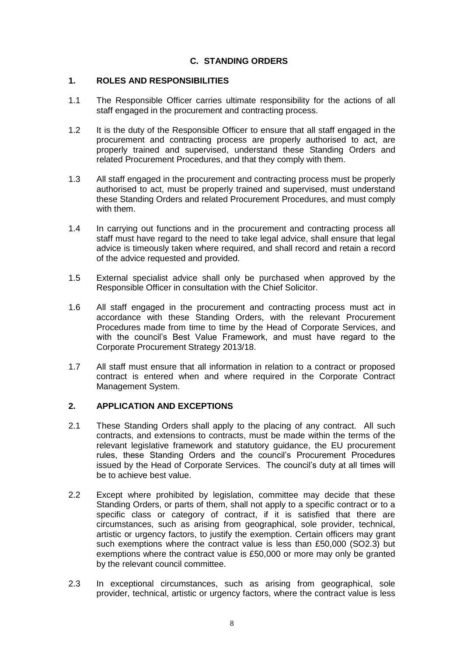# **C. STANDING ORDERS**

# **1. ROLES AND RESPONSIBILITIES**

- 1.1 The Responsible Officer carries ultimate responsibility for the actions of all staff engaged in the procurement and contracting process.
- 1.2 It is the duty of the Responsible Officer to ensure that all staff engaged in the procurement and contracting process are properly authorised to act, are properly trained and supervised, understand these Standing Orders and related Procurement Procedures, and that they comply with them.
- 1.3 All staff engaged in the procurement and contracting process must be properly authorised to act, must be properly trained and supervised, must understand these Standing Orders and related Procurement Procedures, and must comply with them.
- 1.4 In carrying out functions and in the procurement and contracting process all staff must have regard to the need to take legal advice, shall ensure that legal advice is timeously taken where required, and shall record and retain a record of the advice requested and provided.
- 1.5 External specialist advice shall only be purchased when approved by the Responsible Officer in consultation with the Chief Solicitor.
- 1.6 All staff engaged in the procurement and contracting process must act in accordance with these Standing Orders, with the relevant Procurement Procedures made from time to time by the Head of Corporate Services, and with the council's Best Value Framework, and must have regard to the Corporate Procurement Strategy 2013/18.
- 1.7 All staff must ensure that all information in relation to a contract or proposed contract is entered when and where required in the Corporate Contract Management System.

# **2. APPLICATION AND EXCEPTIONS**

- 2.1 These Standing Orders shall apply to the placing of any contract. All such contracts, and extensions to contracts, must be made within the terms of the relevant legislative framework and statutory guidance, the EU procurement rules, these Standing Orders and the council's Procurement Procedures issued by the Head of Corporate Services. The council's duty at all times will be to achieve best value.
- 2.2 Except where prohibited by legislation, committee may decide that these Standing Orders, or parts of them, shall not apply to a specific contract or to a specific class or category of contract, if it is satisfied that there are circumstances, such as arising from geographical, sole provider, technical, artistic or urgency factors, to justify the exemption. Certain officers may grant such exemptions where the contract value is less than £50,000 (SO2.3) but exemptions where the contract value is £50,000 or more may only be granted by the relevant council committee.
- 2.3 In exceptional circumstances, such as arising from geographical, sole provider, technical, artistic or urgency factors, where the contract value is less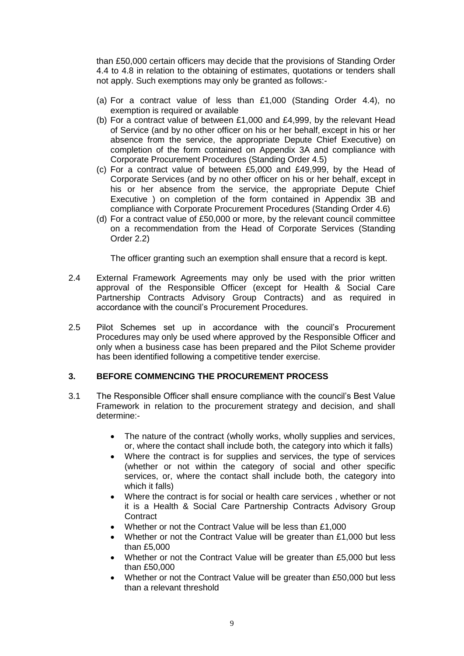than £50,000 certain officers may decide that the provisions of Standing Order 4.4 to 4.8 in relation to the obtaining of estimates, quotations or tenders shall not apply. Such exemptions may only be granted as follows:-

- (a) For a contract value of less than  $£1,000$  (Standing Order 4.4), no exemption is required or available
- (b) For a contract value of between £1,000 and £4,999, by the relevant Head of Service (and by no other officer on his or her behalf, except in his or her absence from the service, the appropriate Depute Chief Executive) on completion of the form contained on Appendix 3A and compliance with Corporate Procurement Procedures (Standing Order 4.5)
- (c) For a contract value of between £5,000 and £49,999, by the Head of Corporate Services (and by no other officer on his or her behalf, except in his or her absence from the service, the appropriate Depute Chief Executive ) on completion of the form contained in Appendix 3B and compliance with Corporate Procurement Procedures (Standing Order 4.6)
- (d) For a contract value of £50,000 or more, by the relevant council committee on a recommendation from the Head of Corporate Services (Standing Order 2.2)

The officer granting such an exemption shall ensure that a record is kept.

- 2.4 External Framework Agreements may only be used with the prior written approval of the Responsible Officer (except for Health & Social Care Partnership Contracts Advisory Group Contracts) and as required in accordance with the council's Procurement Procedures.
- 2.5 Pilot Schemes set up in accordance with the council's Procurement Procedures may only be used where approved by the Responsible Officer and only when a business case has been prepared and the Pilot Scheme provider has been identified following a competitive tender exercise.

# **3. BEFORE COMMENCING THE PROCUREMENT PROCESS**

- 3.1 The Responsible Officer shall ensure compliance with the council's Best Value Framework in relation to the procurement strategy and decision, and shall determine:-
	- The nature of the contract (wholly works, wholly supplies and services, or, where the contact shall include both, the category into which it falls)
	- Where the contract is for supplies and services, the type of services (whether or not within the category of social and other specific services, or, where the contact shall include both, the category into which it falls)
	- Where the contract is for social or health care services , whether or not it is a Health & Social Care Partnership Contracts Advisory Group **Contract**
	- Whether or not the Contract Value will be less than £1,000
	- Whether or not the Contract Value will be greater than £1,000 but less than £5,000
	- Whether or not the Contract Value will be greater than £5,000 but less than £50,000
	- Whether or not the Contract Value will be greater than £50,000 but less than a relevant threshold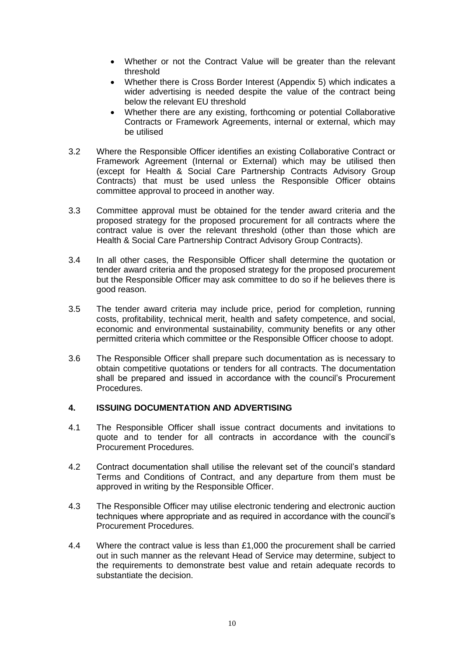- Whether or not the Contract Value will be greater than the relevant threshold
- Whether there is Cross Border Interest (Appendix 5) which indicates a wider advertising is needed despite the value of the contract being below the relevant EU threshold
- Whether there are any existing, forthcoming or potential Collaborative Contracts or Framework Agreements, internal or external, which may be utilised
- 3.2 Where the Responsible Officer identifies an existing Collaborative Contract or Framework Agreement (Internal or External) which may be utilised then (except for Health & Social Care Partnership Contracts Advisory Group Contracts) that must be used unless the Responsible Officer obtains committee approval to proceed in another way.
- 3.3 Committee approval must be obtained for the tender award criteria and the proposed strategy for the proposed procurement for all contracts where the contract value is over the relevant threshold (other than those which are Health & Social Care Partnership Contract Advisory Group Contracts).
- 3.4 In all other cases, the Responsible Officer shall determine the quotation or tender award criteria and the proposed strategy for the proposed procurement but the Responsible Officer may ask committee to do so if he believes there is good reason.
- 3.5 The tender award criteria may include price, period for completion, running costs, profitability, technical merit, health and safety competence, and social, economic and environmental sustainability, community benefits or any other permitted criteria which committee or the Responsible Officer choose to adopt.
- 3.6 The Responsible Officer shall prepare such documentation as is necessary to obtain competitive quotations or tenders for all contracts. The documentation shall be prepared and issued in accordance with the council's Procurement Procedures.

# **4. ISSUING DOCUMENTATION AND ADVERTISING**

- 4.1 The Responsible Officer shall issue contract documents and invitations to quote and to tender for all contracts in accordance with the council's Procurement Procedures.
- 4.2 Contract documentation shall utilise the relevant set of the council's standard Terms and Conditions of Contract, and any departure from them must be approved in writing by the Responsible Officer.
- 4.3 The Responsible Officer may utilise electronic tendering and electronic auction techniques where appropriate and as required in accordance with the council's Procurement Procedures.
- 4.4 Where the contract value is less than £1,000 the procurement shall be carried out in such manner as the relevant Head of Service may determine, subject to the requirements to demonstrate best value and retain adequate records to substantiate the decision.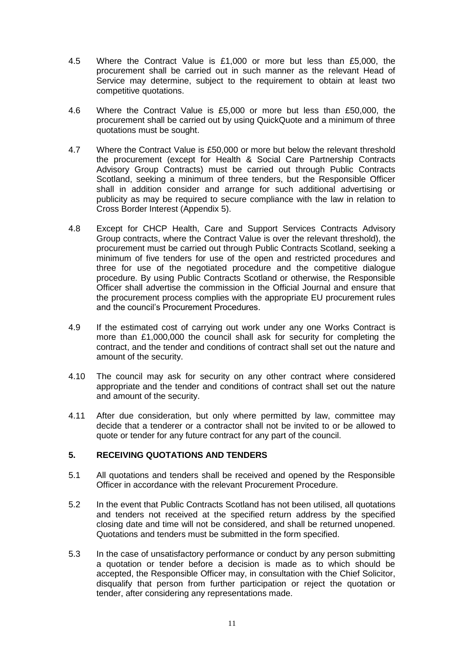- 4.5 Where the Contract Value is £1,000 or more but less than £5,000, the procurement shall be carried out in such manner as the relevant Head of Service may determine, subject to the requirement to obtain at least two competitive quotations.
- 4.6 Where the Contract Value is £5,000 or more but less than £50,000, the procurement shall be carried out by using QuickQuote and a minimum of three quotations must be sought.
- 4.7 Where the Contract Value is £50,000 or more but below the relevant threshold the procurement (except for Health & Social Care Partnership Contracts Advisory Group Contracts) must be carried out through Public Contracts Scotland, seeking a minimum of three tenders, but the Responsible Officer shall in addition consider and arrange for such additional advertising or publicity as may be required to secure compliance with the law in relation to Cross Border Interest (Appendix 5).
- 4.8 Except for CHCP Health, Care and Support Services Contracts Advisory Group contracts, where the Contract Value is over the relevant threshold), the procurement must be carried out through Public Contracts Scotland, seeking a minimum of five tenders for use of the open and restricted procedures and three for use of the negotiated procedure and the competitive dialogue procedure. By using Public Contracts Scotland or otherwise, the Responsible Officer shall advertise the commission in the Official Journal and ensure that the procurement process complies with the appropriate EU procurement rules and the council's Procurement Procedures.
- 4.9 If the estimated cost of carrying out work under any one Works Contract is more than £1,000,000 the council shall ask for security for completing the contract, and the tender and conditions of contract shall set out the nature and amount of the security.
- 4.10 The council may ask for security on any other contract where considered appropriate and the tender and conditions of contract shall set out the nature and amount of the security.
- 4.11 After due consideration, but only where permitted by law, committee may decide that a tenderer or a contractor shall not be invited to or be allowed to quote or tender for any future contract for any part of the council.

# **5. RECEIVING QUOTATIONS AND TENDERS**

- 5.1 All quotations and tenders shall be received and opened by the Responsible Officer in accordance with the relevant Procurement Procedure.
- 5.2 In the event that Public Contracts Scotland has not been utilised, all quotations and tenders not received at the specified return address by the specified closing date and time will not be considered, and shall be returned unopened. Quotations and tenders must be submitted in the form specified.
- 5.3 In the case of unsatisfactory performance or conduct by any person submitting a quotation or tender before a decision is made as to which should be accepted, the Responsible Officer may, in consultation with the Chief Solicitor, disqualify that person from further participation or reject the quotation or tender, after considering any representations made.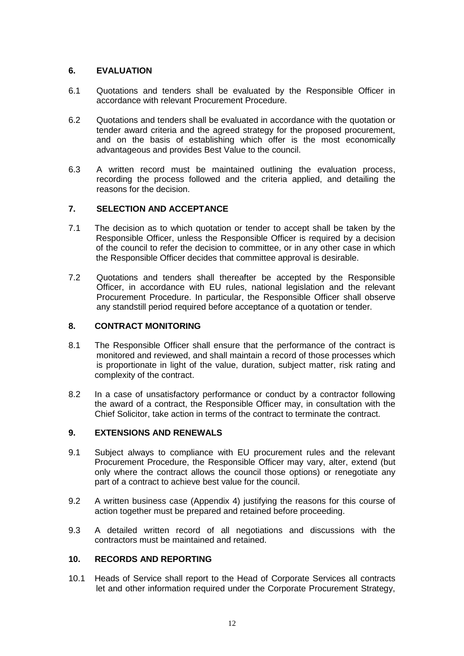# **6. EVALUATION**

- 6.1 Quotations and tenders shall be evaluated by the Responsible Officer in accordance with relevant Procurement Procedure.
- 6.2 Quotations and tenders shall be evaluated in accordance with the quotation or tender award criteria and the agreed strategy for the proposed procurement, and on the basis of establishing which offer is the most economically advantageous and provides Best Value to the council.
- 6.3 A written record must be maintained outlining the evaluation process, recording the process followed and the criteria applied, and detailing the reasons for the decision.

# **7. SELECTION AND ACCEPTANCE**

- 7.1 The decision as to which quotation or tender to accept shall be taken by the Responsible Officer, unless the Responsible Officer is required by a decision of the council to refer the decision to committee, or in any other case in which the Responsible Officer decides that committee approval is desirable.
- 7.2 Quotations and tenders shall thereafter be accepted by the Responsible Officer, in accordance with EU rules, national legislation and the relevant Procurement Procedure. In particular, the Responsible Officer shall observe any standstill period required before acceptance of a quotation or tender.

# **8. CONTRACT MONITORING**

- 8.1 The Responsible Officer shall ensure that the performance of the contract is monitored and reviewed, and shall maintain a record of those processes which is proportionate in light of the value, duration, subject matter, risk rating and complexity of the contract.
- 8.2 In a case of unsatisfactory performance or conduct by a contractor following the award of a contract, the Responsible Officer may, in consultation with the Chief Solicitor, take action in terms of the contract to terminate the contract.

# **9. EXTENSIONS AND RENEWALS**

- 9.1 Subject always to compliance with EU procurement rules and the relevant Procurement Procedure, the Responsible Officer may vary, alter, extend (but only where the contract allows the council those options) or renegotiate any part of a contract to achieve best value for the council.
- 9.2 A written business case (Appendix 4) justifying the reasons for this course of action together must be prepared and retained before proceeding.
- 9.3 A detailed written record of all negotiations and discussions with the contractors must be maintained and retained.

# **10. RECORDS AND REPORTING**

10.1 Heads of Service shall report to the Head of Corporate Services all contracts let and other information required under the Corporate Procurement Strategy,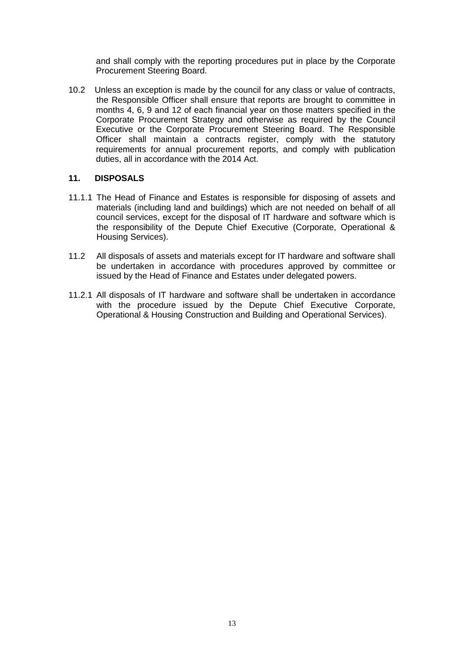and shall comply with the reporting procedures put in place by the Corporate Procurement Steering Board.

10.2 Unless an exception is made by the council for any class or value of contracts, the Responsible Officer shall ensure that reports are brought to committee in months 4, 6, 9 and 12 of each financial year on those matters specified in the Corporate Procurement Strategy and otherwise as required by the Council Executive or the Corporate Procurement Steering Board. The Responsible Officer shall maintain a contracts register, comply with the statutory requirements for annual procurement reports, and comply with publication duties, all in accordance with the 2014 Act.

# **11. DISPOSALS**

- 11.1.1 The Head of Finance and Estates is responsible for disposing of assets and materials (including land and buildings) which are not needed on behalf of all council services, except for the disposal of IT hardware and software which is the responsibility of the Depute Chief Executive (Corporate, Operational & Housing Services).
- 11.2 All disposals of assets and materials except for IT hardware and software shall be undertaken in accordance with procedures approved by committee or issued by the Head of Finance and Estates under delegated powers.
- 11.2.1 All disposals of IT hardware and software shall be undertaken in accordance with the procedure issued by the Depute Chief Executive Corporate, Operational & Housing Construction and Building and Operational Services).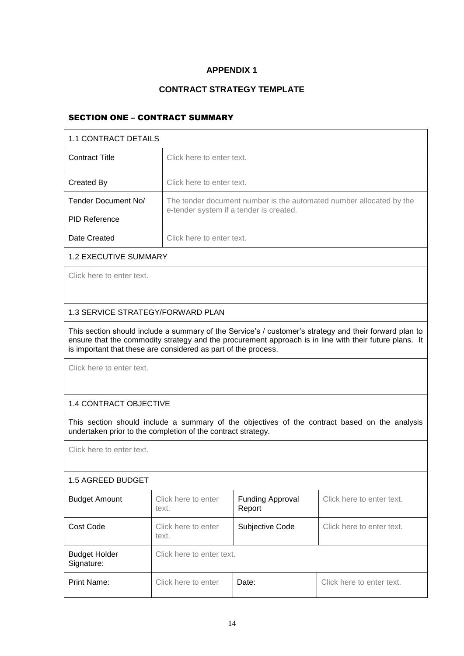# **CONTRACT STRATEGY TEMPLATE**

# SECTION ONE – CONTRACT SUMMARY

| 1.1 CONTRACT DETAILS                                                                                                                                                                                                                                                               |                              |                                         |                                                                     |
|------------------------------------------------------------------------------------------------------------------------------------------------------------------------------------------------------------------------------------------------------------------------------------|------------------------------|-----------------------------------------|---------------------------------------------------------------------|
| <b>Contract Title</b>                                                                                                                                                                                                                                                              | Click here to enter text.    |                                         |                                                                     |
| Created By                                                                                                                                                                                                                                                                         | Click here to enter text.    |                                         |                                                                     |
| Tender Document No/                                                                                                                                                                                                                                                                |                              | e-tender system if a tender is created. | The tender document number is the automated number allocated by the |
| <b>PID Reference</b>                                                                                                                                                                                                                                                               |                              |                                         |                                                                     |
| Date Created                                                                                                                                                                                                                                                                       | Click here to enter text.    |                                         |                                                                     |
| <b>1.2 EXECUTIVE SUMMARY</b>                                                                                                                                                                                                                                                       |                              |                                         |                                                                     |
| Click here to enter text.                                                                                                                                                                                                                                                          |                              |                                         |                                                                     |
| 1.3 SERVICE STRATEGY/FORWARD PLAN                                                                                                                                                                                                                                                  |                              |                                         |                                                                     |
| This section should include a summary of the Service's / customer's strategy and their forward plan to<br>ensure that the commodity strategy and the procurement approach is in line with their future plans. It<br>is important that these are considered as part of the process. |                              |                                         |                                                                     |
| Click here to enter text.                                                                                                                                                                                                                                                          |                              |                                         |                                                                     |
| 1.4 CONTRACT OBJECTIVE                                                                                                                                                                                                                                                             |                              |                                         |                                                                     |
| This section should include a summary of the objectives of the contract based on the analysis<br>undertaken prior to the completion of the contract strategy.                                                                                                                      |                              |                                         |                                                                     |
| Click here to enter text.                                                                                                                                                                                                                                                          |                              |                                         |                                                                     |
| 1.5 AGREED BUDGET                                                                                                                                                                                                                                                                  |                              |                                         |                                                                     |
| <b>Budget Amount</b>                                                                                                                                                                                                                                                               | Click here to enter<br>text. | <b>Funding Approval</b><br>Report       | Click here to enter text.                                           |
| Cost Code                                                                                                                                                                                                                                                                          | Click here to enter<br>text. | Subjective Code                         | Click here to enter text.                                           |
| <b>Budget Holder</b><br>Signature:                                                                                                                                                                                                                                                 |                              | Click here to enter text.               |                                                                     |
| <b>Print Name:</b>                                                                                                                                                                                                                                                                 | Click here to enter          | Date:                                   | Click here to enter text.                                           |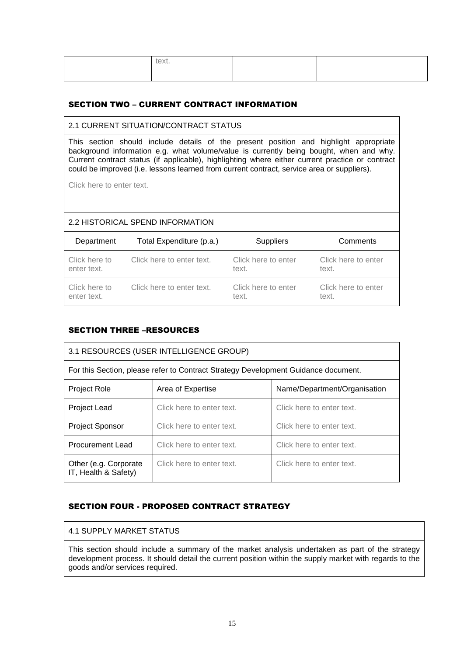| text. |  |
|-------|--|
|       |  |

# SECTION TWO – CURRENT CONTRACT INFORMATION

# 2.1 CURRENT SITUATION/CONTRACT STATUS

This section should include details of the present position and highlight appropriate background information e.g. what volume/value is currently being bought, when and why. Current contract status (if applicable), highlighting where either current practice or contract could be improved (i.e. lessons learned from current contract, service area or suppliers).

Click here to enter text.

# 2.2 HISTORICAL SPEND INFORMATION

| Department    | Total Expenditure (p.a.)  | <b>Suppliers</b>    | Comments            |
|---------------|---------------------------|---------------------|---------------------|
| Click here to | Click here to enter text. | Click here to enter | Click here to enter |
| enter text.   |                           | text.               | text.               |
| Click here to | Click here to enter text. | Click here to enter | Click here to enter |
| enter text.   |                           | text.               | text.               |

# SECTION THREE –RESOURCES

| 3.1 RESOURCES (USER INTELLIGENCE GROUP)                                            |                           |                           |
|------------------------------------------------------------------------------------|---------------------------|---------------------------|
| For this Section, please refer to Contract Strategy Development Guidance document. |                           |                           |
| Name/Department/Organisation<br><b>Project Role</b><br>Area of Expertise           |                           |                           |
| <b>Project Lead</b>                                                                | Click here to enter text. | Click here to enter text. |
| <b>Project Sponsor</b>                                                             | Click here to enter text. | Click here to enter text. |
| <b>Procurement Lead</b><br>Click here to enter text.<br>Click here to enter text.  |                           |                           |
| Other (e.g. Corporate)<br>IT, Health & Safety)                                     | Click here to enter text. | Click here to enter text. |

# SECTION FOUR - PROPOSED CONTRACT STRATEGY

# 4.1 SUPPLY MARKET STATUS

This section should include a summary of the market analysis undertaken as part of the strategy development process. It should detail the current position within the supply market with regards to the goods and/or services required.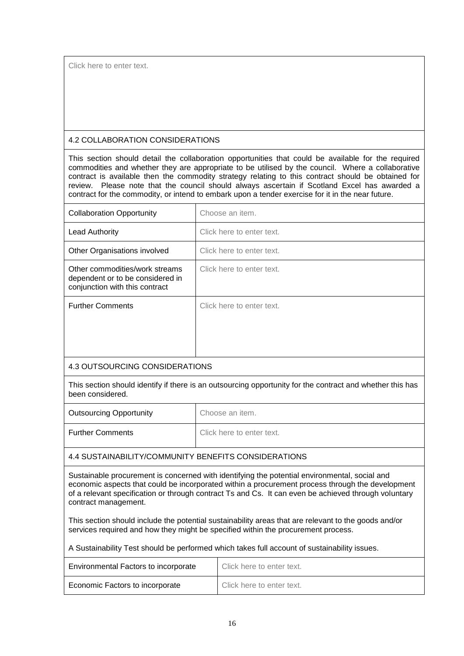Click here to enter text.

# 4.2 COLLABORATION CONSIDERATIONS

This section should detail the collaboration opportunities that could be available for the required commodities and whether they are appropriate to be utilised by the council. Where a collaborative contract is available then the commodity strategy relating to this contract should be obtained for review. Please note that the council should always ascertain if Scotland Excel has awarded a contract for the commodity, or intend to embark upon a tender exercise for it in the near future.

| <b>Collaboration Opportunity</b>                                                                                              | Choose an item.           |  |
|-------------------------------------------------------------------------------------------------------------------------------|---------------------------|--|
| Lead Authority                                                                                                                | Click here to enter text. |  |
| Other Organisations involved                                                                                                  | Click here to enter text. |  |
| Other commodities/work streams<br>dependent or to be considered in<br>conjunction with this contract                          | Click here to enter text. |  |
| <b>Further Comments</b>                                                                                                       | Click here to enter text. |  |
| 4.3 OUTSOURCING CONSIDERATIONS                                                                                                |                           |  |
| This section should identify if there is an outsourcing opportunity for the contract and whether this has<br>been considered. |                           |  |

| <b>Outsourcing Opportunity</b> | Choose an item.           |
|--------------------------------|---------------------------|
| <b>Further Comments</b>        | Click here to enter text. |

# 4.4 SUSTAINABILITY/COMMUNITY BENEFITS CONSIDERATIONS

Sustainable procurement is concerned with identifying the potential environmental, social and economic aspects that could be incorporated within a procurement process through the development of a relevant specification or through contract Ts and Cs. It can even be achieved through voluntary contract management.

This section should include the potential sustainability areas that are relevant to the goods and/or services required and how they might be specified within the procurement process.

A Sustainability Test should be performed which takes full account of sustainability issues.

| <b>Environmental Factors to incorporate</b> | Click here to enter text. |
|---------------------------------------------|---------------------------|
| Economic Factors to incorporate             | Click here to enter text. |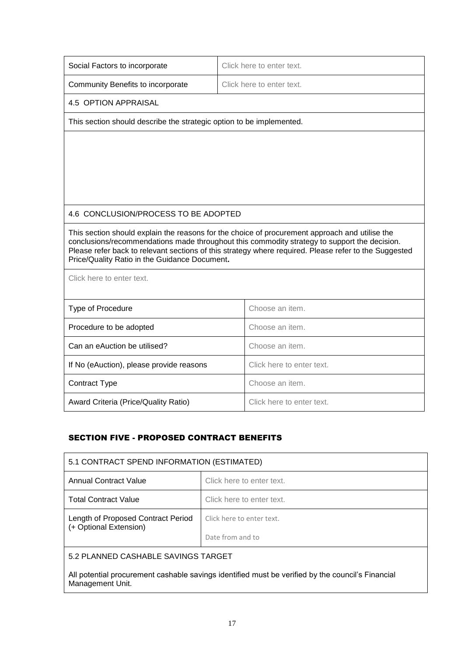| Social Factors to incorporate                                        | Click here to enter text.                                                                                                                                                                                                                                                                               |
|----------------------------------------------------------------------|---------------------------------------------------------------------------------------------------------------------------------------------------------------------------------------------------------------------------------------------------------------------------------------------------------|
| Community Benefits to incorporate                                    | Click here to enter text.                                                                                                                                                                                                                                                                               |
| 4.5 OPTION APPRAISAL                                                 |                                                                                                                                                                                                                                                                                                         |
| This section should describe the strategic option to be implemented. |                                                                                                                                                                                                                                                                                                         |
|                                                                      |                                                                                                                                                                                                                                                                                                         |
| 4.6 CONCLUSION/PROCESS TO BE ADOPTED                                 |                                                                                                                                                                                                                                                                                                         |
| Price/Quality Ratio in the Guidance Document.                        | This section should explain the reasons for the choice of procurement approach and utilise the<br>conclusions/recommendations made throughout this commodity strategy to support the decision.<br>Please refer back to relevant sections of this strategy where required. Please refer to the Suggested |
| Click here to enter text.                                            |                                                                                                                                                                                                                                                                                                         |
| Type of Procedure                                                    | Choose an item.                                                                                                                                                                                                                                                                                         |
| Procedure to be adopted                                              | Choose an item.                                                                                                                                                                                                                                                                                         |
| Can an eAuction be utilised?                                         | Choose an item.                                                                                                                                                                                                                                                                                         |
| If No (eAuction), please provide reasons                             | Click here to enter text.                                                                                                                                                                                                                                                                               |
| Contract Type                                                        | Choose an item.                                                                                                                                                                                                                                                                                         |
| Award Criteria (Price/Quality Ratio)                                 | Click here to enter text.                                                                                                                                                                                                                                                                               |

# SECTION FIVE - PROPOSED CONTRACT BENEFITS

| 5.1 CONTRACT SPEND INFORMATION (ESTIMATED)                                                           |                           |  |
|------------------------------------------------------------------------------------------------------|---------------------------|--|
| <b>Annual Contract Value</b>                                                                         | Click here to enter text. |  |
| <b>Total Contract Value</b>                                                                          | Click here to enter text. |  |
| Length of Proposed Contract Period<br>(+ Optional Extension)                                         | Click here to enter text. |  |
|                                                                                                      | Date from and to          |  |
| 5.2 PLANNED CASHABLE SAVINGS TARGET                                                                  |                           |  |
| المامسونيا والاستبراط وماليط المتاشين وماراتهما وباللويتان ومساريف والمعامسة ليستستست وسيراما لسلوسا |                           |  |

All potential procurement cashable savings identified must be verified by the council's Financial Management Unit.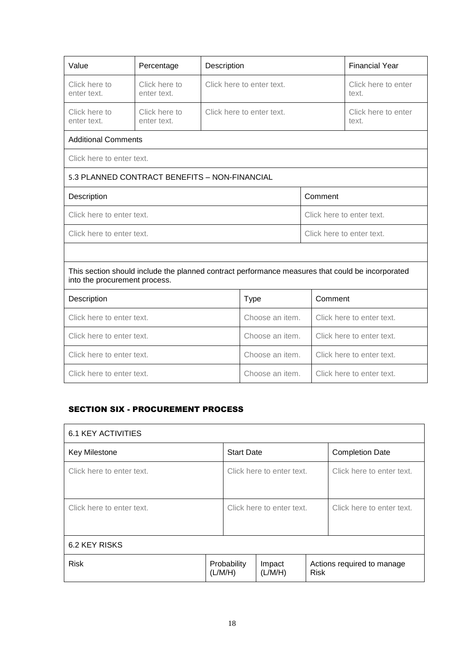| Value                                                                                                                             | Percentage                                    | Description               |                           |                              | <b>Financial Year</b>        |
|-----------------------------------------------------------------------------------------------------------------------------------|-----------------------------------------------|---------------------------|---------------------------|------------------------------|------------------------------|
| Click here to<br>enter text.                                                                                                      | Click here to<br>enter text.                  |                           | Click here to enter text. |                              | Click here to enter<br>text. |
| Click here to<br>enter text.                                                                                                      | Click here to<br>enter text.                  | Click here to enter text. |                           | Click here to enter<br>text. |                              |
| <b>Additional Comments</b>                                                                                                        |                                               |                           |                           |                              |                              |
| Click here to enter text.                                                                                                         |                                               |                           |                           |                              |                              |
|                                                                                                                                   | 5.3 PLANNED CONTRACT BENEFITS - NON-FINANCIAL |                           |                           |                              |                              |
| Description                                                                                                                       |                                               |                           |                           | Comment                      |                              |
| Click here to enter text.                                                                                                         |                                               |                           |                           | Click here to enter text.    |                              |
| Click here to enter text.                                                                                                         |                                               |                           | Click here to enter text. |                              |                              |
|                                                                                                                                   |                                               |                           |                           |                              |                              |
| This section should include the planned contract performance measures that could be incorporated<br>into the procurement process. |                                               |                           |                           |                              |                              |
| Description                                                                                                                       |                                               |                           | <b>Type</b>               | Comment                      |                              |
| Click here to enter text.                                                                                                         |                                               |                           | Choose an item.           |                              | Click here to enter text.    |
| Click here to enter text.                                                                                                         |                                               |                           | Choose an item.           |                              | Click here to enter text.    |
| Click here to enter text.                                                                                                         |                                               |                           | Choose an item.           |                              | Click here to enter text.    |
| Click here to enter text.                                                                                                         |                                               |                           | Choose an item.           |                              | Click here to enter text.    |

# SECTION SIX - PROCUREMENT PROCESS

| <b>6.1 KEY ACTIVITIES</b> |  |                        |                           |                        |                            |  |
|---------------------------|--|------------------------|---------------------------|------------------------|----------------------------|--|
| Key Milestone             |  | <b>Start Date</b>      |                           | <b>Completion Date</b> |                            |  |
| Click here to enter text. |  |                        | Click here to enter text. |                        | Click here to enter text.  |  |
| Click here to enter text. |  |                        | Click here to enter text. |                        | Click here to enter text.  |  |
| 6.2 KEY RISKS             |  |                        |                           |                        |                            |  |
| <b>Risk</b>               |  | Probability<br>(L/M/H) | Impact<br>(L/M/H)         | <b>Risk</b>            | Actions required to manage |  |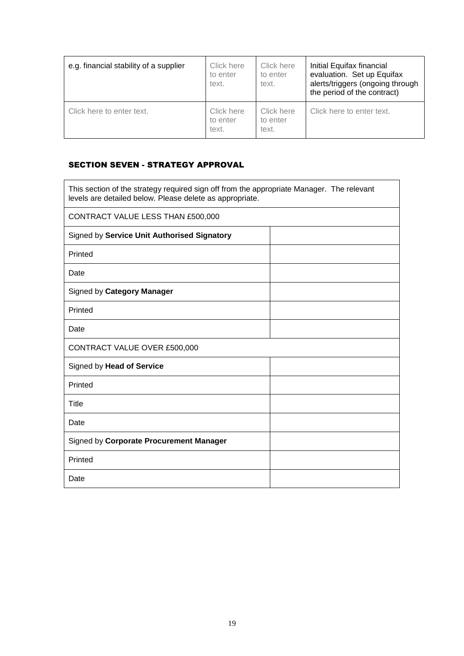| e.g. financial stability of a supplier | Click here<br>to enter<br>text. | Click here<br>to enter<br>text. | Initial Equifax financial<br>evaluation. Set up Equifax<br>alerts/triggers (ongoing through<br>the period of the contract) |
|----------------------------------------|---------------------------------|---------------------------------|----------------------------------------------------------------------------------------------------------------------------|
| Click here to enter text.              | Click here<br>to enter<br>text. | Click here<br>to enter<br>text. | Click here to enter text.                                                                                                  |

# SECTION SEVEN - STRATEGY APPROVAL

| This section of the strategy required sign off from the appropriate Manager. The relevant<br>levels are detailed below. Please delete as appropriate. |  |  |
|-------------------------------------------------------------------------------------------------------------------------------------------------------|--|--|
| CONTRACT VALUE LESS THAN £500,000                                                                                                                     |  |  |
| Signed by Service Unit Authorised Signatory                                                                                                           |  |  |
| Printed                                                                                                                                               |  |  |
| Date                                                                                                                                                  |  |  |
| Signed by Category Manager                                                                                                                            |  |  |
| Printed                                                                                                                                               |  |  |
| Date                                                                                                                                                  |  |  |
| CONTRACT VALUE OVER £500,000                                                                                                                          |  |  |
| Signed by Head of Service                                                                                                                             |  |  |
| Printed                                                                                                                                               |  |  |
| Title                                                                                                                                                 |  |  |
| Date                                                                                                                                                  |  |  |
| Signed by Corporate Procurement Manager                                                                                                               |  |  |
| Printed                                                                                                                                               |  |  |
| Date                                                                                                                                                  |  |  |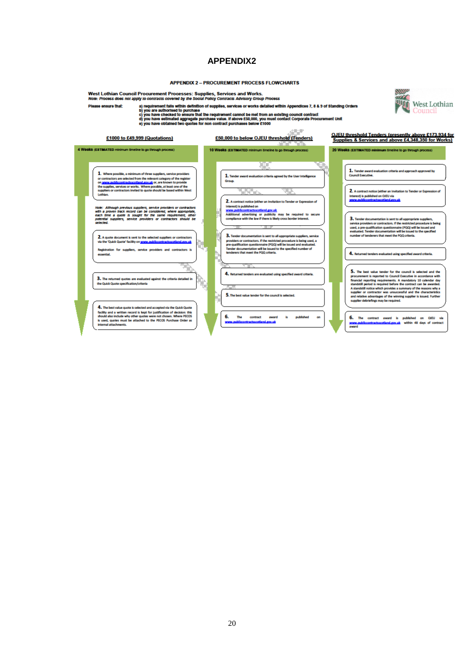#### **APPENDIX 2 - PROCUREMENT PROCESS FLOWCHARTS**

West Lothian Council Procurement Processes: Supplies, Services and Works.<br>Nome: Process does not apply to contracts covered by the Social Policy Contracts Advisory Group Process

Please ensure that:

Any in continues and the within definition of supplies, services and working choup Process.<br>
a pregnance that is within definition of supplies, services or works detailed within Appendices 7, 8 & 9 of Standing Orders<br>
c) y

21/10a

预

West Lothian

Council



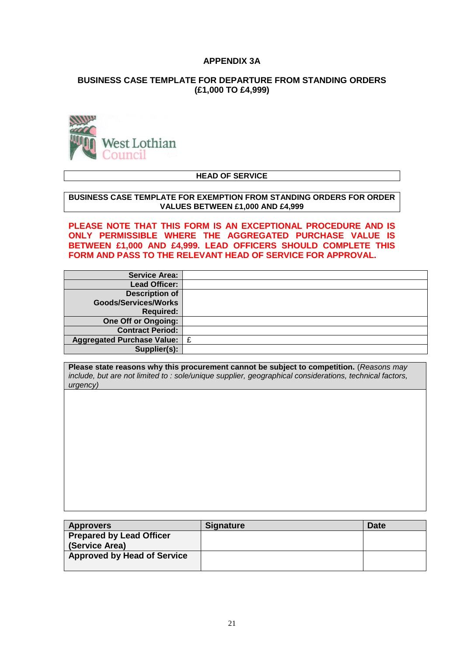# **APPENDIX 3A**

# **BUSINESS CASE TEMPLATE FOR DEPARTURE FROM STANDING ORDERS (£1,000 TO £4,999)**



# **HEAD OF SERVICE**

#### **BUSINESS CASE TEMPLATE FOR EXEMPTION FROM STANDING ORDERS FOR ORDER VALUES BETWEEN £1,000 AND £4,999**

**PLEASE NOTE THAT THIS FORM IS AN EXCEPTIONAL PROCEDURE AND IS ONLY PERMISSIBLE WHERE THE AGGREGATED PURCHASE VALUE IS BETWEEN £1,000 AND £4,999. LEAD OFFICERS SHOULD COMPLETE THIS FORM AND PASS TO THE RELEVANT HEAD OF SERVICE FOR APPROVAL.**

| <b>Service Area:</b>        |   |
|-----------------------------|---|
| <b>Lead Officer:</b>        |   |
| <b>Description of</b>       |   |
| <b>Goods/Services/Works</b> |   |
| <b>Required:</b>            |   |
| <b>One Off or Ongoing:</b>  |   |
| <b>Contract Period:</b>     |   |
| Aggregated Purchase Value:  | £ |
| Supplier(s):                |   |

**Please state reasons why this procurement cannot be subject to competition.** (*Reasons may include, but are not limited to : sole/unique supplier, geographical considerations, technical factors, urgency)*

| <b>Approvers</b>                   | <b>Signature</b> | <b>Date</b> |
|------------------------------------|------------------|-------------|
| <b>Prepared by Lead Officer</b>    |                  |             |
| (Service Area)                     |                  |             |
| <b>Approved by Head of Service</b> |                  |             |
|                                    |                  |             |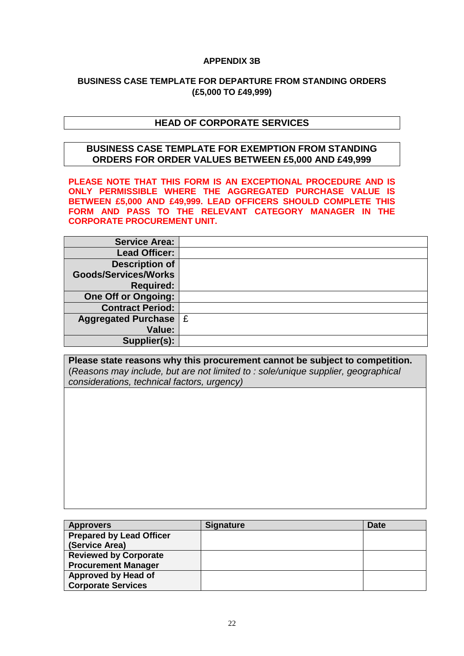# **APPENDIX 3B**

# **BUSINESS CASE TEMPLATE FOR DEPARTURE FROM STANDING ORDERS (£5,000 TO £49,999)**

# **HEAD OF CORPORATE SERVICES**

# **BUSINESS CASE TEMPLATE FOR EXEMPTION FROM STANDING ORDERS FOR ORDER VALUES BETWEEN £5,000 AND £49,999**

**PLEASE NOTE THAT THIS FORM IS AN EXCEPTIONAL PROCEDURE AND IS ONLY PERMISSIBLE WHERE THE AGGREGATED PURCHASE VALUE IS BETWEEN £5,000 AND £49,999. LEAD OFFICERS SHOULD COMPLETE THIS FORM AND PASS TO THE RELEVANT CATEGORY MANAGER IN THE CORPORATE PROCUREMENT UNIT.**

| <b>Service Area:</b>        |  |
|-----------------------------|--|
| <b>Lead Officer:</b>        |  |
| <b>Description of</b>       |  |
| <b>Goods/Services/Works</b> |  |
| <b>Required:</b>            |  |
| <b>One Off or Ongoing:</b>  |  |
| <b>Contract Period:</b>     |  |
| Aggregated Purchase   £     |  |
| Value:                      |  |
| Supplier(s):                |  |

**Please state reasons why this procurement cannot be subject to competition.**  (*Reasons may include, but are not limited to : sole/unique supplier, geographical considerations, technical factors, urgency)*

| <b>Approvers</b>                | <b>Signature</b> | <b>Date</b> |
|---------------------------------|------------------|-------------|
| <b>Prepared by Lead Officer</b> |                  |             |
| (Service Area)                  |                  |             |
| <b>Reviewed by Corporate</b>    |                  |             |
| <b>Procurement Manager</b>      |                  |             |
| <b>Approved by Head of</b>      |                  |             |
| <b>Corporate Services</b>       |                  |             |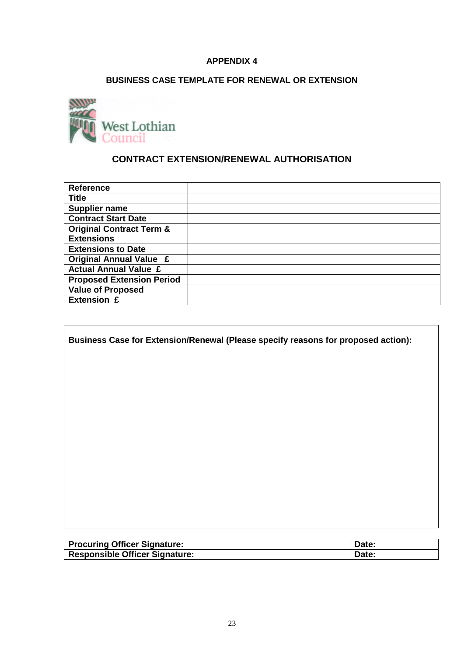# **BUSINESS CASE TEMPLATE FOR RENEWAL OR EXTENSION**



 $\mathbf{r}$ 

# **CONTRACT EXTENSION/RENEWAL AUTHORISATION**

| <b>Reference</b>                    |  |
|-------------------------------------|--|
| <b>Title</b>                        |  |
| <b>Supplier name</b>                |  |
| <b>Contract Start Date</b>          |  |
| <b>Original Contract Term &amp;</b> |  |
| <b>Extensions</b>                   |  |
| <b>Extensions to Date</b>           |  |
| <b>Original Annual Value £</b>      |  |
| <b>Actual Annual Value £</b>        |  |
| <b>Proposed Extension Period</b>    |  |
| <b>Value of Proposed</b>            |  |
| <b>Extension £</b>                  |  |

٦

| Business Case for Extension/Renewal (Please specify reasons for proposed action): |  |
|-----------------------------------------------------------------------------------|--|
|                                                                                   |  |
|                                                                                   |  |
|                                                                                   |  |
|                                                                                   |  |
|                                                                                   |  |
|                                                                                   |  |
|                                                                                   |  |
|                                                                                   |  |
|                                                                                   |  |
|                                                                                   |  |

| Procuring Officer Signature:   | Date: |
|--------------------------------|-------|
| Responsible Officer Signature: | Date: |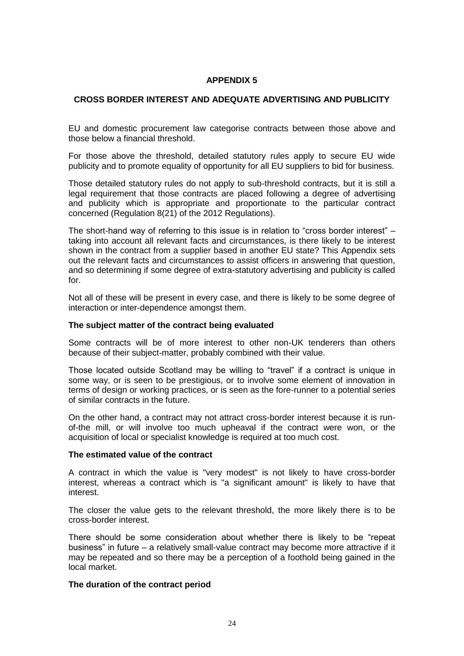# **CROSS BORDER INTEREST AND ADEQUATE ADVERTISING AND PUBLICITY**

EU and domestic procurement law categorise contracts between those above and those below a financial threshold.

For those above the threshold, detailed statutory rules apply to secure EU wide publicity and to promote equality of opportunity for all EU suppliers to bid for business.

Those detailed statutory rules do not apply to sub-threshold contracts, but it is still a legal requirement that those contracts are placed following a degree of advertising and publicity which is appropriate and proportionate to the particular contract concerned (Regulation 8(21) of the 2012 Regulations).

The short-hand way of referring to this issue is in relation to "cross border interest" – taking into account all relevant facts and circumstances, is there likely to be interest shown in the contract from a supplier based in another EU state? This Appendix sets out the relevant facts and circumstances to assist officers in answering that question, and so determining if some degree of extra-statutory advertising and publicity is called for.

Not all of these will be present in every case, and there is likely to be some degree of interaction or inter-dependence amongst them.

#### **The subject matter of the contract being evaluated**

Some contracts will be of more interest to other non-UK tenderers than others because of their subject-matter, probably combined with their value.

Those located outside Scotland may be willing to "travel" if a contract is unique in some way, or is seen to be prestigious, or to involve some element of innovation in terms of design or working practices, or is seen as the fore-runner to a potential series of similar contracts in the future.

On the other hand, a contract may not attract cross-border interest because it is runof-the mill, or will involve too much upheaval if the contract were won, or the acquisition of local or specialist knowledge is required at too much cost.

# **The estimated value of the contract**

A contract in which the value is "very modest" is not likely to have cross-border interest, whereas a contract which is "a significant amount" is likely to have that interest.

The closer the value gets to the relevant threshold, the more likely there is to be cross-border interest.

There should be some consideration about whether there is likely to be "repeat business" in future – a relatively small-value contract may become more attractive if it may be repeated and so there may be a perception of a foothold being gained in the local market.

# **The duration of the contract period**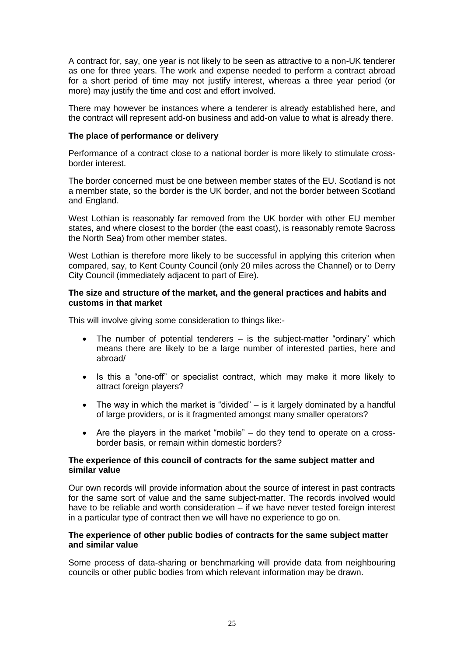A contract for, say, one year is not likely to be seen as attractive to a non-UK tenderer as one for three years. The work and expense needed to perform a contract abroad for a short period of time may not justify interest, whereas a three year period (or more) may justify the time and cost and effort involved.

There may however be instances where a tenderer is already established here, and the contract will represent add-on business and add-on value to what is already there.

# **The place of performance or delivery**

Performance of a contract close to a national border is more likely to stimulate crossborder interest.

The border concerned must be one between member states of the EU. Scotland is not a member state, so the border is the UK border, and not the border between Scotland and England.

West Lothian is reasonably far removed from the UK border with other EU member states, and where closest to the border (the east coast), is reasonably remote 9across the North Sea) from other member states.

West Lothian is therefore more likely to be successful in applying this criterion when compared, say, to Kent County Council (only 20 miles across the Channel) or to Derry City Council (immediately adjacent to part of Eire).

# **The size and structure of the market, and the general practices and habits and customs in that market**

This will involve giving some consideration to things like:-

- The number of potential tenderers is the subject-matter "ordinary" which means there are likely to be a large number of interested parties, here and abroad/
- Is this a "one-off" or specialist contract, which may make it more likely to attract foreign players?
- The way in which the market is "divided"  $-$  is it largely dominated by a handful of large providers, or is it fragmented amongst many smaller operators?
- Are the players in the market "mobile" do they tend to operate on a crossborder basis, or remain within domestic borders?

# **The experience of this council of contracts for the same subject matter and similar value**

Our own records will provide information about the source of interest in past contracts for the same sort of value and the same subject-matter. The records involved would have to be reliable and worth consideration – if we have never tested foreign interest in a particular type of contract then we will have no experience to go on.

# **The experience of other public bodies of contracts for the same subject matter and similar value**

Some process of data-sharing or benchmarking will provide data from neighbouring councils or other public bodies from which relevant information may be drawn.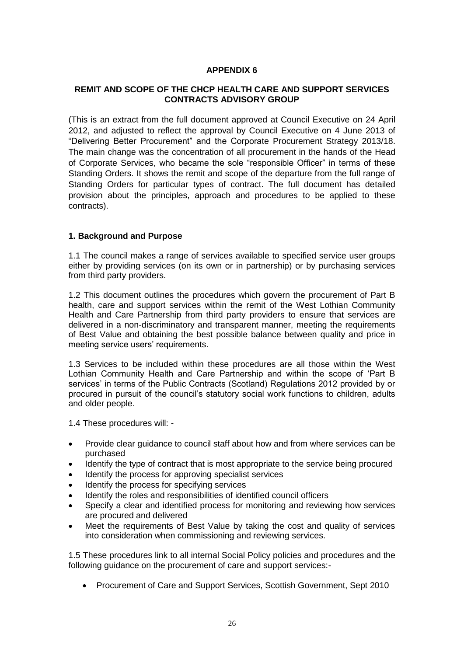# **REMIT AND SCOPE OF THE CHCP HEALTH CARE AND SUPPORT SERVICES CONTRACTS ADVISORY GROUP**

(This is an extract from the full document approved at Council Executive on 24 April 2012, and adjusted to reflect the approval by Council Executive on 4 June 2013 of "Delivering Better Procurement" and the Corporate Procurement Strategy 2013/18. The main change was the concentration of all procurement in the hands of the Head of Corporate Services, who became the sole "responsible Officer" in terms of these Standing Orders. It shows the remit and scope of the departure from the full range of Standing Orders for particular types of contract. The full document has detailed provision about the principles, approach and procedures to be applied to these contracts).

# **1. Background and Purpose**

1.1 The council makes a range of services available to specified service user groups either by providing services (on its own or in partnership) or by purchasing services from third party providers.

1.2 This document outlines the procedures which govern the procurement of Part B health, care and support services within the remit of the West Lothian Community Health and Care Partnership from third party providers to ensure that services are delivered in a non-discriminatory and transparent manner, meeting the requirements of Best Value and obtaining the best possible balance between quality and price in meeting service users' requirements.

1.3 Services to be included within these procedures are all those within the West Lothian Community Health and Care Partnership and within the scope of 'Part B services' in terms of the Public Contracts (Scotland) Regulations 2012 provided by or procured in pursuit of the council's statutory social work functions to children, adults and older people.

1.4 These procedures will: -

- Provide clear guidance to council staff about how and from where services can be purchased
- Identify the type of contract that is most appropriate to the service being procured
- Identify the process for approving specialist services
- Identify the process for specifying services
- Identify the roles and responsibilities of identified council officers
- Specify a clear and identified process for monitoring and reviewing how services are procured and delivered
- Meet the requirements of Best Value by taking the cost and quality of services into consideration when commissioning and reviewing services.

1.5 These procedures link to all internal Social Policy policies and procedures and the following guidance on the procurement of care and support services:-

Procurement of Care and Support Services, Scottish Government, Sept 2010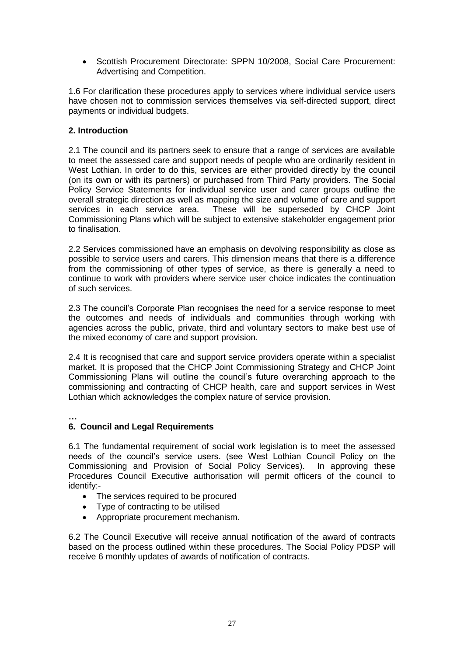Scottish Procurement Directorate: SPPN 10/2008, Social Care Procurement: Advertising and Competition.

1.6 For clarification these procedures apply to services where individual service users have chosen not to commission services themselves via self-directed support, direct payments or individual budgets.

# **2. Introduction**

2.1 The council and its partners seek to ensure that a range of services are available to meet the assessed care and support needs of people who are ordinarily resident in West Lothian. In order to do this, services are either provided directly by the council (on its own or with its partners) or purchased from Third Party providers. The Social Policy Service Statements for individual service user and carer groups outline the overall strategic direction as well as mapping the size and volume of care and support services in each service area. These will be superseded by CHCP Joint Commissioning Plans which will be subject to extensive stakeholder engagement prior to finalisation.

2.2 Services commissioned have an emphasis on devolving responsibility as close as possible to service users and carers. This dimension means that there is a difference from the commissioning of other types of service, as there is generally a need to continue to work with providers where service user choice indicates the continuation of such services.

2.3 The council's Corporate Plan recognises the need for a service response to meet the outcomes and needs of individuals and communities through working with agencies across the public, private, third and voluntary sectors to make best use of the mixed economy of care and support provision.

2.4 It is recognised that care and support service providers operate within a specialist market. It is proposed that the CHCP Joint Commissioning Strategy and CHCP Joint Commissioning Plans will outline the council's future overarching approach to the commissioning and contracting of CHCP health, care and support services in West Lothian which acknowledges the complex nature of service provision.

**…**

# **6. Council and Legal Requirements**

6.1 The fundamental requirement of social work legislation is to meet the assessed needs of the council's service users. (see West Lothian Council Policy on the Commissioning and Provision of Social Policy Services). In approving these Procedures Council Executive authorisation will permit officers of the council to identify:-

- The services required to be procured
- Type of contracting to be utilised
- Appropriate procurement mechanism.

6.2 The Council Executive will receive annual notification of the award of contracts based on the process outlined within these procedures. The Social Policy PDSP will receive 6 monthly updates of awards of notification of contracts.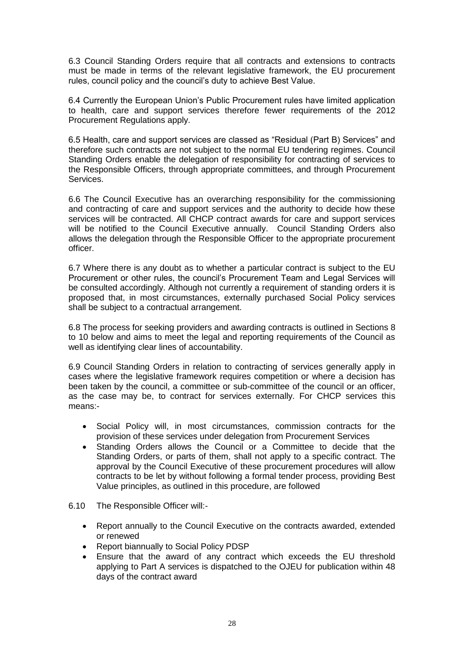6.3 Council Standing Orders require that all contracts and extensions to contracts must be made in terms of the relevant legislative framework, the EU procurement rules, council policy and the council's duty to achieve Best Value.

6.4 Currently the European Union's Public Procurement rules have limited application to health, care and support services therefore fewer requirements of the 2012 Procurement Regulations apply.

6.5 Health, care and support services are classed as "Residual (Part B) Services" and therefore such contracts are not subject to the normal EU tendering regimes. Council Standing Orders enable the delegation of responsibility for contracting of services to the Responsible Officers, through appropriate committees, and through Procurement Services.

6.6 The Council Executive has an overarching responsibility for the commissioning and contracting of care and support services and the authority to decide how these services will be contracted. All CHCP contract awards for care and support services will be notified to the Council Executive annually. Council Standing Orders also allows the delegation through the Responsible Officer to the appropriate procurement officer.

6.7 Where there is any doubt as to whether a particular contract is subject to the EU Procurement or other rules, the council's Procurement Team and Legal Services will be consulted accordingly. Although not currently a requirement of standing orders it is proposed that, in most circumstances, externally purchased Social Policy services shall be subject to a contractual arrangement.

6.8 The process for seeking providers and awarding contracts is outlined in Sections 8 to 10 below and aims to meet the legal and reporting requirements of the Council as well as identifying clear lines of accountability.

6.9 Council Standing Orders in relation to contracting of services generally apply in cases where the legislative framework requires competition or where a decision has been taken by the council, a committee or sub-committee of the council or an officer, as the case may be, to contract for services externally. For CHCP services this means:-

- Social Policy will, in most circumstances, commission contracts for the provision of these services under delegation from Procurement Services
- Standing Orders allows the Council or a Committee to decide that the Standing Orders, or parts of them, shall not apply to a specific contract. The approval by the Council Executive of these procurement procedures will allow contracts to be let by without following a formal tender process, providing Best Value principles, as outlined in this procedure, are followed
- 6.10 The Responsible Officer will:-
	- Report annually to the Council Executive on the contracts awarded, extended or renewed
	- Report biannually to Social Policy PDSP
	- Ensure that the award of any contract which exceeds the EU threshold applying to Part A services is dispatched to the OJEU for publication within 48 days of the contract award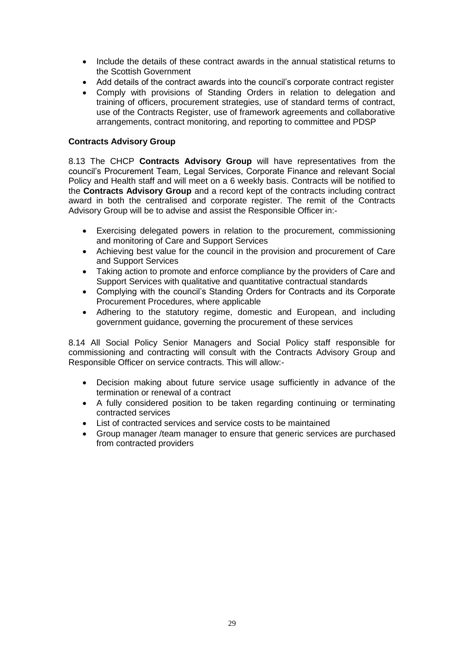- Include the details of these contract awards in the annual statistical returns to the Scottish Government
- Add details of the contract awards into the council's corporate contract register
- Comply with provisions of Standing Orders in relation to delegation and training of officers, procurement strategies, use of standard terms of contract, use of the Contracts Register, use of framework agreements and collaborative arrangements, contract monitoring, and reporting to committee and PDSP

# **Contracts Advisory Group**

8.13 The CHCP **Contracts Advisory Group** will have representatives from the council's Procurement Team, Legal Services, Corporate Finance and relevant Social Policy and Health staff and will meet on a 6 weekly basis. Contracts will be notified to the **Contracts Advisory Group** and a record kept of the contracts including contract award in both the centralised and corporate register. The remit of the Contracts Advisory Group will be to advise and assist the Responsible Officer in:-

- Exercising delegated powers in relation to the procurement, commissioning and monitoring of Care and Support Services
- Achieving best value for the council in the provision and procurement of Care and Support Services
- Taking action to promote and enforce compliance by the providers of Care and Support Services with qualitative and quantitative contractual standards
- Complying with the council's Standing Orders for Contracts and its Corporate Procurement Procedures, where applicable
- Adhering to the statutory regime, domestic and European, and including government guidance, governing the procurement of these services

8.14 All Social Policy Senior Managers and Social Policy staff responsible for commissioning and contracting will consult with the Contracts Advisory Group and Responsible Officer on service contracts. This will allow:-

- Decision making about future service usage sufficiently in advance of the termination or renewal of a contract
- A fully considered position to be taken regarding continuing or terminating contracted services
- List of contracted services and service costs to be maintained
- Group manager /team manager to ensure that generic services are purchased from contracted providers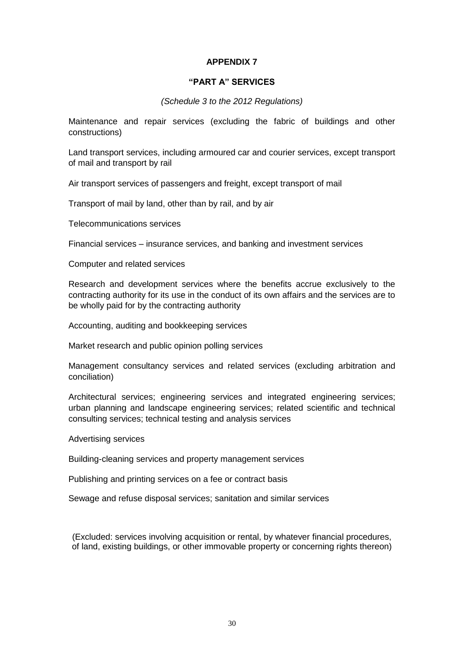# **"PART A" SERVICES**

# *(Schedule 3 to the 2012 Regulations)*

Maintenance and repair services (excluding the fabric of buildings and other constructions)

Land transport services, including armoured car and courier services, except transport of mail and transport by rail

Air transport services of passengers and freight, except transport of mail

Transport of mail by land, other than by rail, and by air

Telecommunications services

Financial services – insurance services, and banking and investment services

Computer and related services

Research and development services where the benefits accrue exclusively to the contracting authority for its use in the conduct of its own affairs and the services are to be wholly paid for by the contracting authority

Accounting, auditing and bookkeeping services

Market research and public opinion polling services

Management consultancy services and related services (excluding arbitration and conciliation)

Architectural services; engineering services and integrated engineering services; urban planning and landscape engineering services; related scientific and technical consulting services; technical testing and analysis services

Advertising services

Building-cleaning services and property management services

Publishing and printing services on a fee or contract basis

Sewage and refuse disposal services; sanitation and similar services

(Excluded: services involving acquisition or rental, by whatever financial procedures, of land, existing buildings, or other immovable property or concerning rights thereon)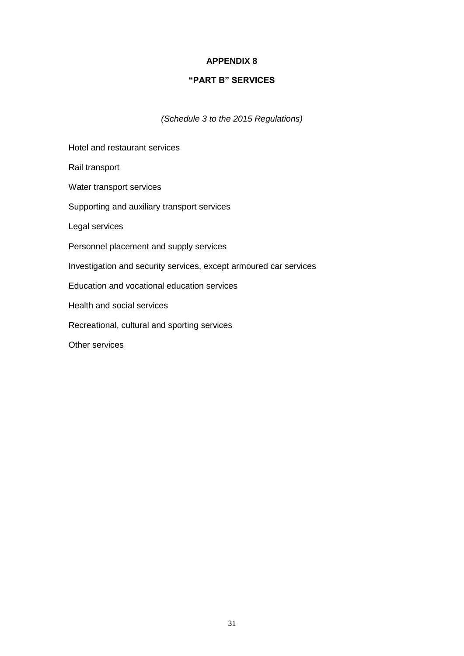# **"PART B" SERVICES**

*(Schedule 3 to the 2015 Regulations)*

Hotel and restaurant services Rail transport Water transport services Supporting and auxiliary transport services Legal services Personnel placement and supply services Investigation and security services, except armoured car services Education and vocational education services Health and social services Recreational, cultural and sporting services Other services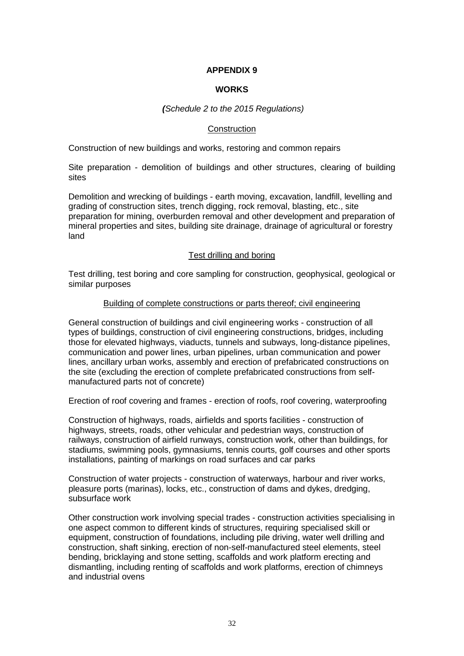# **WORKS**

# *(Schedule 2 to the 2015 Regulations)*

# **Construction**

Construction of new buildings and works, restoring and common repairs

Site preparation - demolition of buildings and other structures, clearing of building sites

Demolition and wrecking of buildings - earth moving, excavation, landfill, levelling and grading of construction sites, trench digging, rock removal, blasting, etc., site preparation for mining, overburden removal and other development and preparation of mineral properties and sites, building site drainage, drainage of agricultural or forestry land

# Test drilling and boring

Test drilling, test boring and core sampling for construction, geophysical, geological or similar purposes

# Building of complete constructions or parts thereof; civil engineering

General construction of buildings and civil engineering works - construction of all types of buildings, construction of civil engineering constructions, bridges, including those for elevated highways, viaducts, tunnels and subways, long-distance pipelines, communication and power lines, urban pipelines, urban communication and power lines, ancillary urban works, assembly and erection of prefabricated constructions on the site (excluding the erection of complete prefabricated constructions from selfmanufactured parts not of concrete)

Erection of roof covering and frames - erection of roofs, roof covering, waterproofing

Construction of highways, roads, airfields and sports facilities - construction of highways, streets, roads, other vehicular and pedestrian ways, construction of railways, construction of airfield runways, construction work, other than buildings, for stadiums, swimming pools, gymnasiums, tennis courts, golf courses and other sports installations, painting of markings on road surfaces and car parks

Construction of water projects - construction of waterways, harbour and river works, pleasure ports (marinas), locks, etc., construction of dams and dykes, dredging, subsurface work

Other construction work involving special trades - construction activities specialising in one aspect common to different kinds of structures, requiring specialised skill or equipment, construction of foundations, including pile driving, water well drilling and construction, shaft sinking, erection of non-self-manufactured steel elements, steel bending, bricklaying and stone setting, scaffolds and work platform erecting and dismantling, including renting of scaffolds and work platforms, erection of chimneys and industrial ovens